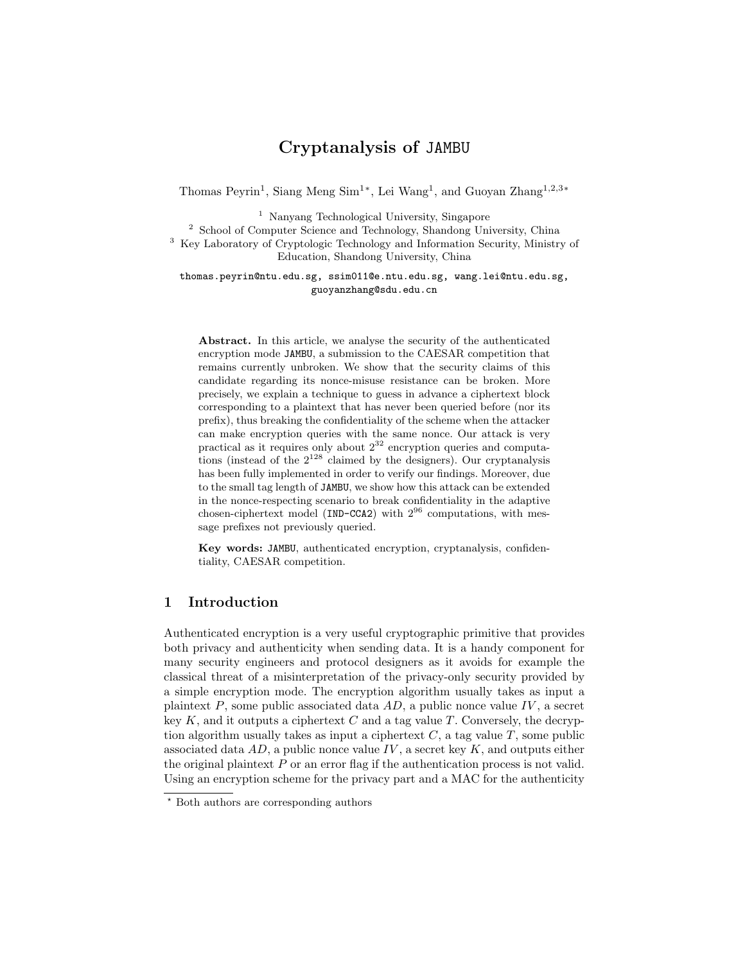# Cryptanalysis of JAMBU

Thomas Peyrin<sup>1</sup>, Siang Meng Sim<sup>1</sup><sup>\*</sup>, Lei Wang<sup>1</sup>, and Guoyan Zhang<sup>1,2,3</sup><sup>\*</sup>

<sup>1</sup> Nanyang Technological University, Singapore

<sup>2</sup> School of Computer Science and Technology, Shandong University, China

<sup>3</sup> Key Laboratory of Cryptologic Technology and Information Security, Ministry of Education, Shandong University, China

thomas.peyrin@ntu.edu.sg, ssim011@e.ntu.edu.sg, wang.lei@ntu.edu.sg, guoyanzhang@sdu.edu.cn

Abstract. In this article, we analyse the security of the authenticated encryption mode JAMBU, a submission to the CAESAR competition that remains currently unbroken. We show that the security claims of this candidate regarding its nonce-misuse resistance can be broken. More precisely, we explain a technique to guess in advance a ciphertext block corresponding to a plaintext that has never been queried before (nor its prefix), thus breaking the confidentiality of the scheme when the attacker can make encryption queries with the same nonce. Our attack is very practical as it requires only about  $2^{32}$  encryption queries and computations (instead of the  $2^{128}$  claimed by the designers). Our cryptanalysis has been fully implemented in order to verify our findings. Moreover, due to the small tag length of JAMBU, we show how this attack can be extended in the nonce-respecting scenario to break confidentiality in the adaptive chosen-ciphertext model (IND-CCA2) with  $2^{96}$  computations, with message prefixes not previously queried.

Key words: JAMBU, authenticated encryption, cryptanalysis, confidentiality, CAESAR competition.

# 1 Introduction

Authenticated encryption is a very useful cryptographic primitive that provides both privacy and authenticity when sending data. It is a handy component for many security engineers and protocol designers as it avoids for example the classical threat of a misinterpretation of the privacy-only security provided by a simple encryption mode. The encryption algorithm usually takes as input a plaintext P, some public associated data  $AD$ , a public nonce value IV, a secret key K, and it outputs a ciphertext  $C$  and a tag value T. Conversely, the decryption algorithm usually takes as input a ciphertext  $C$ , a tag value  $T$ , some public associated data  $AD$ , a public nonce value IV, a secret key K, and outputs either the original plaintext P or an error flag if the authentication process is not valid. Using an encryption scheme for the privacy part and a MAC for the authenticity

<sup>?</sup> Both authors are corresponding authors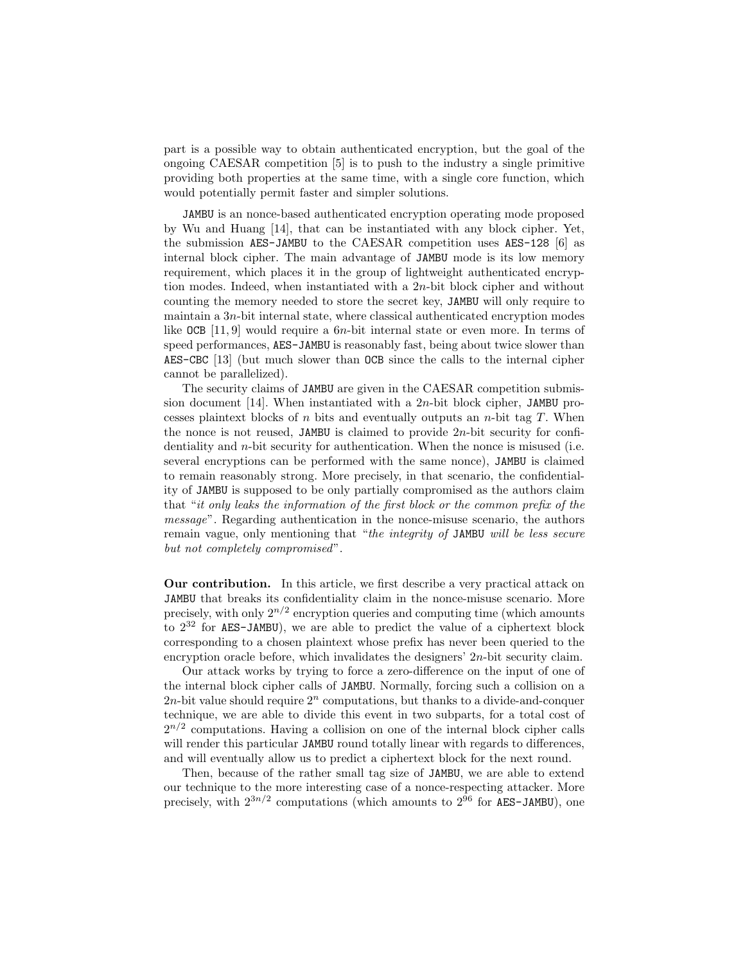part is a possible way to obtain authenticated encryption, but the goal of the ongoing CAESAR competition [5] is to push to the industry a single primitive providing both properties at the same time, with a single core function, which would potentially permit faster and simpler solutions.

JAMBU is an nonce-based authenticated encryption operating mode proposed by Wu and Huang [14], that can be instantiated with any block cipher. Yet, the submission AES-JAMBU to the CAESAR competition uses AES-128 [6] as internal block cipher. The main advantage of JAMBU mode is its low memory requirement, which places it in the group of lightweight authenticated encryption modes. Indeed, when instantiated with a 2n-bit block cipher and without counting the memory needed to store the secret key, JAMBU will only require to maintain a  $3n$ -bit internal state, where classical authenticated encryption modes like OCB [11, 9] would require a 6n-bit internal state or even more. In terms of speed performances, AES-JAMBU is reasonably fast, being about twice slower than AES-CBC [13] (but much slower than OCB since the calls to the internal cipher cannot be parallelized).

The security claims of JAMBU are given in the CAESAR competition submission document [14]. When instantiated with a  $2n$ -bit block cipher, JAMBU processes plaintext blocks of n bits and eventually outputs an n-bit tag  $T$ . When the nonce is not reused, JAMBU is claimed to provide 2n-bit security for confidentiality and *n*-bit security for authentication. When the nonce is misused (i.e. several encryptions can be performed with the same nonce), JAMBU is claimed to remain reasonably strong. More precisely, in that scenario, the confidentiality of JAMBU is supposed to be only partially compromised as the authors claim that "it only leaks the information of the first block or the common prefix of the message". Regarding authentication in the nonce-misuse scenario, the authors remain vague, only mentioning that "the integrity of JAMBU will be less secure but not completely compromised".

Our contribution. In this article, we first describe a very practical attack on JAMBU that breaks its confidentiality claim in the nonce-misuse scenario. More precisely, with only  $2^{n/2}$  encryption queries and computing time (which amounts to  $2^{32}$  for AES-JAMBU), we are able to predict the value of a ciphertext block corresponding to a chosen plaintext whose prefix has never been queried to the encryption oracle before, which invalidates the designers'  $2n$ -bit security claim.

Our attack works by trying to force a zero-difference on the input of one of the internal block cipher calls of JAMBU. Normally, forcing such a collision on a  $2n$ -bit value should require  $2<sup>n</sup>$  computations, but thanks to a divide-and-conquer technique, we are able to divide this event in two subparts, for a total cost of  $2^{n/2}$  computations. Having a collision on one of the internal block cipher calls will render this particular JAMBU round totally linear with regards to differences, and will eventually allow us to predict a ciphertext block for the next round.

Then, because of the rather small tag size of JAMBU, we are able to extend our technique to the more interesting case of a nonce-respecting attacker. More precisely, with  $2^{3n/2}$  computations (which amounts to  $2^{96}$  for AES-JAMBU), one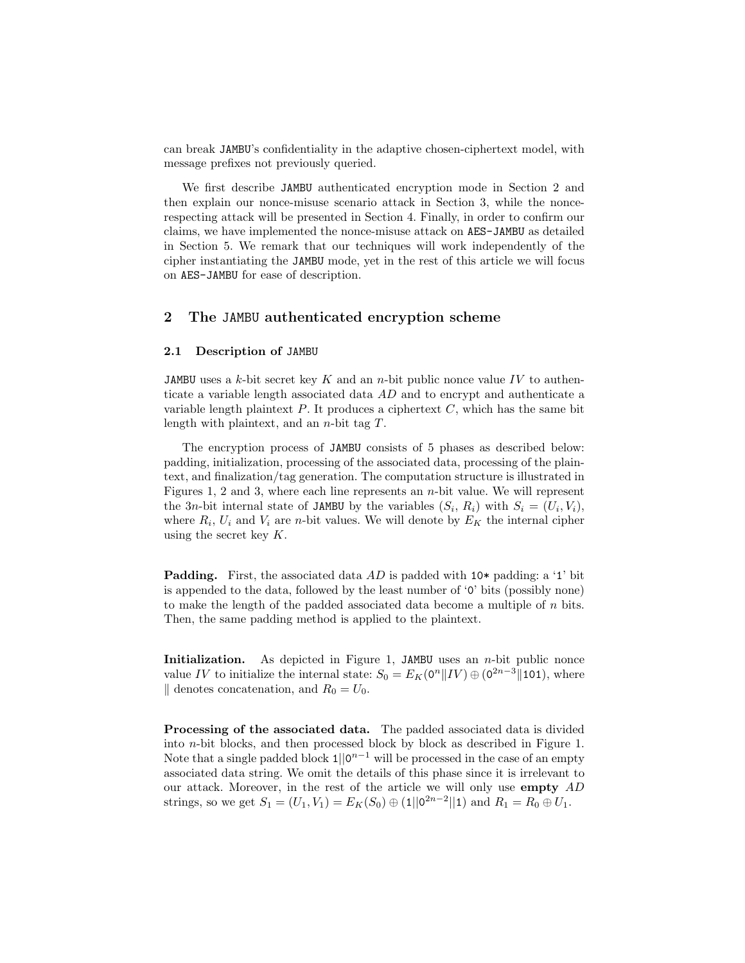can break JAMBU's confidentiality in the adaptive chosen-ciphertext model, with message prefixes not previously queried.

We first describe JAMBU authenticated encryption mode in Section 2 and then explain our nonce-misuse scenario attack in Section 3, while the noncerespecting attack will be presented in Section 4. Finally, in order to confirm our claims, we have implemented the nonce-misuse attack on AES-JAMBU as detailed in Section 5. We remark that our techniques will work independently of the cipher instantiating the JAMBU mode, yet in the rest of this article we will focus on AES-JAMBU for ease of description.

# 2 The JAMBU authenticated encryption scheme

#### 2.1 Description of JAMBU

JAMBU uses a  $k$ -bit secret key K and an n-bit public nonce value IV to authenticate a variable length associated data AD and to encrypt and authenticate a variable length plaintext  $P$ . It produces a ciphertext  $C$ , which has the same bit length with plaintext, and an  $n$ -bit tag  $T$ .

The encryption process of JAMBU consists of 5 phases as described below: padding, initialization, processing of the associated data, processing of the plaintext, and finalization/tag generation. The computation structure is illustrated in Figures 1, 2 and 3, where each line represents an n-bit value. We will represent the 3n-bit internal state of JAMBU by the variables  $(S_i, R_i)$  with  $S_i = (U_i, V_i)$ , where  $R_i$ ,  $U_i$  and  $V_i$  are *n*-bit values. We will denote by  $E_K$  the internal cipher using the secret key  $K$ .

**Padding.** First, the associated data  $AD$  is padded with  $10*$  padding: a '1' bit is appended to the data, followed by the least number of '0' bits (possibly none) to make the length of the padded associated data become a multiple of  $n$  bits. Then, the same padding method is applied to the plaintext.

**Initialization.** As depicted in Figure 1, JAMBU uses an  $n$ -bit public nonce value IV to initialize the internal state:  $S_0 = E_K(0^n \| IV) \oplus (0^{2n-3} \| 101)$ , where || denotes concatenation, and  $R_0 = U_0$ .

Processing of the associated data. The padded associated data is divided into n-bit blocks, and then processed block by block as described in Figure 1. Note that a single padded block  $1||0^{n-1}$  will be processed in the case of an empty associated data string. We omit the details of this phase since it is irrelevant to our attack. Moreover, in the rest of the article we will only use empty AD strings, so we get  $S_1 = (U_1, V_1) = E_K(S_0) \oplus (1||0^{2n-2}||1)$  and  $R_1 = R_0 \oplus U_1$ .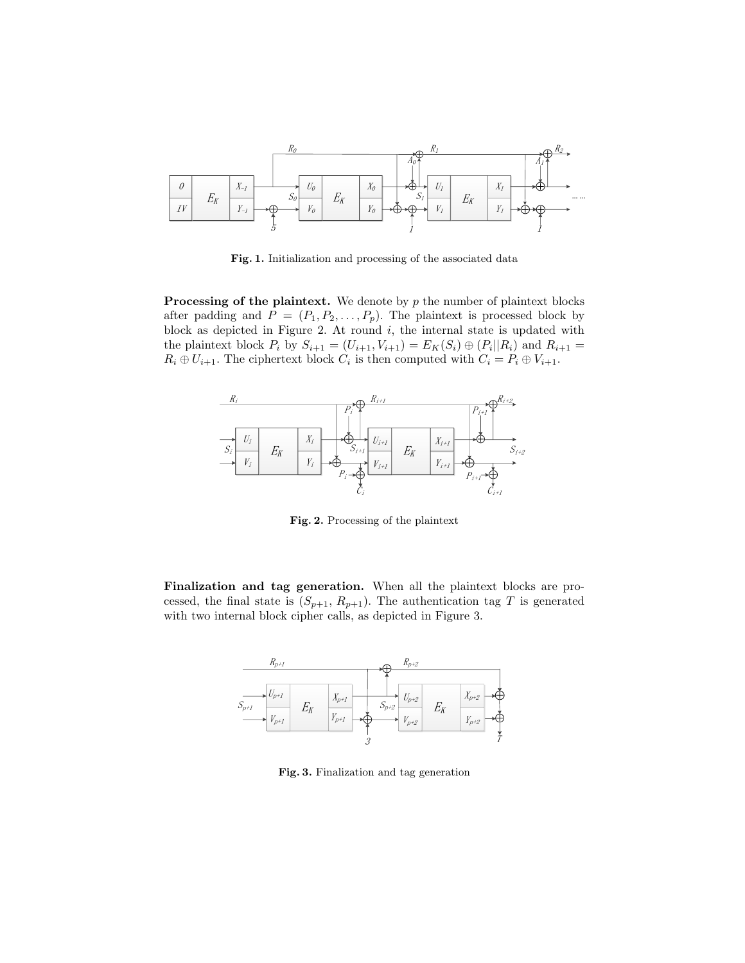

Fig. 1. Initialization and processing of the associated data

**Processing of the plaintext.** We denote by  $p$  the number of plaintext blocks after padding and  $P = (P_1, P_2, \ldots, P_p)$ . The plaintext is processed block by block as depicted in Figure 2. At round  $i$ , the internal state is updated with the plaintext block  $P_i$  by  $S_{i+1} = (U_{i+1}, V_{i+1}) = E_K(S_i) \oplus (P_i || R_i)$  and  $R_{i+1} =$  $R_i \oplus U_{i+1}$ . The ciphertext block  $C_i$  is then computed with  $C_i = P_i \oplus V_{i+1}$ .



Fig. 2. Processing of the plaintext

Finalization and tag generation. When all the plaintext blocks are processed, the final state is  $(S_{p+1}, R_{p+1})$ . The authentication tag T is generated with two internal block cipher calls, as depicted in Figure 3.



Fig. 3. Finalization and tag generation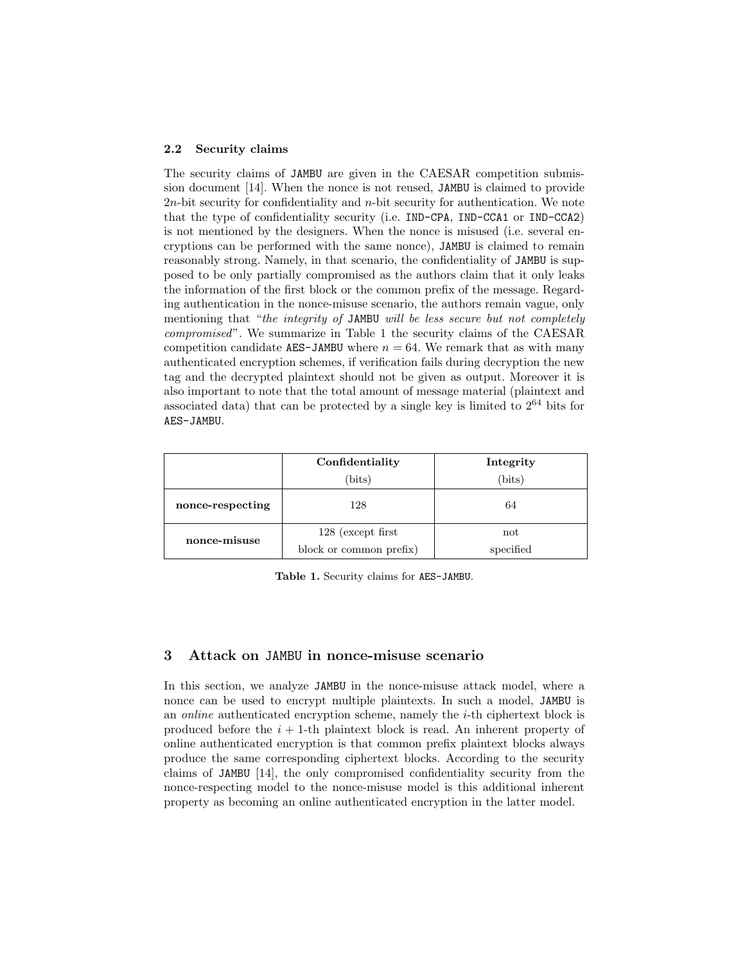### 2.2 Security claims

The security claims of JAMBU are given in the CAESAR competition submission document [14]. When the nonce is not reused, JAMBU is claimed to provide  $2n$ -bit security for confidentiality and  $n$ -bit security for authentication. We note that the type of confidentiality security (i.e. IND-CPA, IND-CCA1 or IND-CCA2) is not mentioned by the designers. When the nonce is misused (i.e. several encryptions can be performed with the same nonce), JAMBU is claimed to remain reasonably strong. Namely, in that scenario, the confidentiality of JAMBU is supposed to be only partially compromised as the authors claim that it only leaks the information of the first block or the common prefix of the message. Regarding authentication in the nonce-misuse scenario, the authors remain vague, only mentioning that "the integrity of JAMBU will be less secure but not completely compromised". We summarize in Table 1 the security claims of the CAESAR competition candidate AES-JAMBU where  $n = 64$ . We remark that as with many authenticated encryption schemes, if verification fails during decryption the new tag and the decrypted plaintext should not be given as output. Moreover it is also important to note that the total amount of message material (plaintext and associated data) that can be protected by a single key is limited to  $2^{64}$  bits for AES-JAMBU.

|                  | Confidentiality         | Integrity |
|------------------|-------------------------|-----------|
|                  | (bits)                  | (bits)    |
| nonce-respecting | 128                     | 64        |
| nonce-misuse     | 128 (except first)      | not       |
|                  | block or common prefix) | specified |

Table 1. Security claims for AES-JAMBU.

# 3 Attack on JAMBU in nonce-misuse scenario

In this section, we analyze JAMBU in the nonce-misuse attack model, where a nonce can be used to encrypt multiple plaintexts. In such a model, JAMBU is an *online* authenticated encryption scheme, namely the  $i$ -th ciphertext block is produced before the  $i + 1$ -th plaintext block is read. An inherent property of online authenticated encryption is that common prefix plaintext blocks always produce the same corresponding ciphertext blocks. According to the security claims of JAMBU [14], the only compromised confidentiality security from the nonce-respecting model to the nonce-misuse model is this additional inherent property as becoming an online authenticated encryption in the latter model.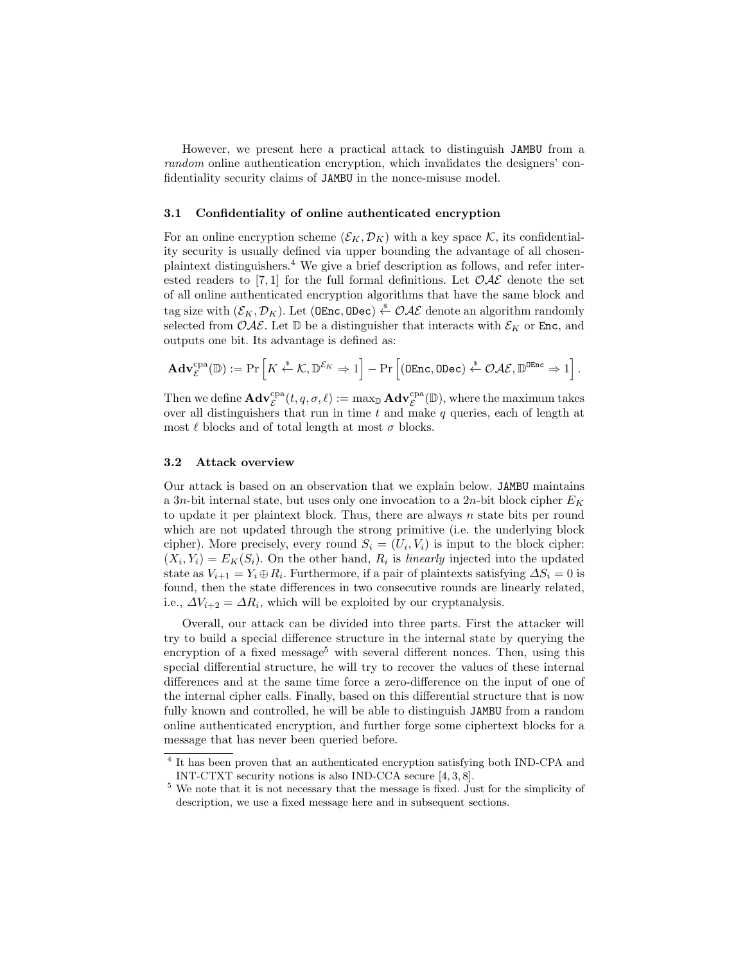However, we present here a practical attack to distinguish JAMBU from a random online authentication encryption, which invalidates the designers' confidentiality security claims of JAMBU in the nonce-misuse model.

#### 3.1 Confidentiality of online authenticated encryption

For an online encryption scheme  $(\mathcal{E}_K, \mathcal{D}_K)$  with a key space K, its confidentiality security is usually defined via upper bounding the advantage of all chosenplaintext distinguishers.<sup>4</sup> We give a brief description as follows, and refer interested readers to [7, 1] for the full formal definitions. Let  $\mathcal{OAE}$  denote the set of all online authenticated encryption algorithms that have the same block and tag size with  $(\mathcal{E}_K, \mathcal{D}_K)$ . Let (OEnc, ODec)  $\stackrel{\hspace{0.1em}\mathsf{\scriptscriptstyle\$}}{\leftarrow}$  OAE denote an algorithm randomly selected from  $\mathcal{OAE}$ . Let  $\mathbb D$  be a distinguisher that interacts with  $\mathcal{E}_K$  or Enc, and outputs one bit. Its advantage is defined as:

$$
\mathbf{Adv}_{\mathcal{E}}^{\mathrm{cpa}}(\mathbb{D}):=\Pr\left[K\stackrel{\hspace{0.1em}\mathsf{\scriptscriptstyle\$}}{\leftarrow}\mathcal{K},\mathbb{D}^{\mathcal{E}_K}\Rightarrow1\right]-\Pr\left[\left(\texttt{0Enc},\texttt{0Dec}\right)\stackrel{\hspace{0.1em}\mathsf{\scriptscriptstyle\$}}{\leftarrow}\mathcal{OAE},\mathbb{D}^{\texttt{0Enc}}\Rightarrow1\right].
$$

Then we define  $\mathbf{Adv}^{\text{cpa}}_{\mathcal{E}}(t, q, \sigma, \ell) := \max_{\mathbb{D}} \mathbf{Adv}^{\text{cpa}}_{\mathcal{E}}(\mathbb{D}),$  where the maximum takes over all distinguishers that run in time  $t$  and make  $q$  queries, each of length at most  $\ell$  blocks and of total length at most  $\sigma$  blocks.

### 3.2 Attack overview

Our attack is based on an observation that we explain below. JAMBU maintains a 3n-bit internal state, but uses only one invocation to a 2n-bit block cipher  $E_K$ to update it per plaintext block. Thus, there are always  $n$  state bits per round which are not updated through the strong primitive (i.e. the underlying block cipher). More precisely, every round  $S_i = (U_i, V_i)$  is input to the block cipher:  $(X_i, Y_i) = E_K(S_i)$ . On the other hand,  $R_i$  is linearly injected into the updated state as  $V_{i+1} = Y_i \oplus R_i$ . Furthermore, if a pair of plaintexts satisfying  $\Delta S_i = 0$  is found, then the state differences in two consecutive rounds are linearly related, i.e.,  $\Delta V_{i+2} = \Delta R_i$ , which will be exploited by our cryptanalysis.

Overall, our attack can be divided into three parts. First the attacker will try to build a special difference structure in the internal state by querying the encryption of a fixed message<sup>5</sup> with several different nonces. Then, using this special differential structure, he will try to recover the values of these internal differences and at the same time force a zero-difference on the input of one of the internal cipher calls. Finally, based on this differential structure that is now fully known and controlled, he will be able to distinguish JAMBU from a random online authenticated encryption, and further forge some ciphertext blocks for a message that has never been queried before.

<sup>&</sup>lt;sup>4</sup> It has been proven that an authenticated encryption satisfying both IND-CPA and INT-CTXT security notions is also IND-CCA secure [4, 3, 8].

<sup>5</sup> We note that it is not necessary that the message is fixed. Just for the simplicity of description, we use a fixed message here and in subsequent sections.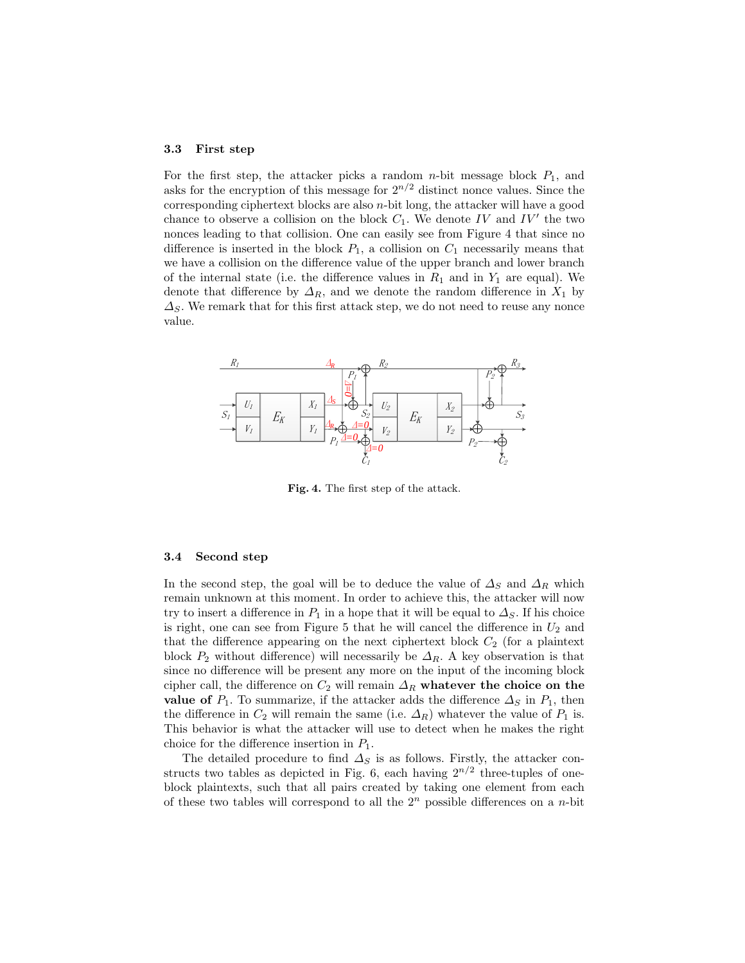#### 3.3 First step

For the first step, the attacker picks a random  $n$ -bit message block  $P_1$ , and asks for the encryption of this message for  $2^{n/2}$  distinct nonce values. Since the corresponding ciphertext blocks are also  $n$ -bit long, the attacker will have a good chance to observe a collision on the block  $C_1$ . We denote IV and IV' the two nonces leading to that collision. One can easily see from Figure 4 that since no difference is inserted in the block  $P_1$ , a collision on  $C_1$  necessarily means that we have a collision on the difference value of the upper branch and lower branch of the internal state (i.e. the difference values in  $R_1$  and in  $Y_1$  are equal). We denote that difference by  $\Delta_R$ , and we denote the random difference in  $X_1$  by  $\Delta_S$ . We remark that for this first attack step, we do not need to reuse any nonce value.



Fig. 4. The first step of the attack.

## 3.4 Second step

In the second step, the goal will be to deduce the value of  $\Delta_S$  and  $\Delta_R$  which remain unknown at this moment. In order to achieve this, the attacker will now try to insert a difference in  $P_1$  in a hope that it will be equal to  $\Delta_S$ . If his choice is right, one can see from Figure 5 that he will cancel the difference in  $U_2$  and that the difference appearing on the next ciphertext block  $C_2$  (for a plaintext block  $P_2$  without difference) will necessarily be  $\Delta_R$ . A key observation is that since no difference will be present any more on the input of the incoming block cipher call, the difference on  $C_2$  will remain  $\Delta_R$  whatever the choice on the value of  $P_1$ . To summarize, if the attacker adds the difference  $\Delta_S$  in  $P_1$ , then the difference in  $C_2$  will remain the same (i.e.  $\Delta_R$ ) whatever the value of  $P_1$  is. This behavior is what the attacker will use to detect when he makes the right choice for the difference insertion in  $P_1$ .

The detailed procedure to find  $\Delta_S$  is as follows. Firstly, the attacker constructs two tables as depicted in Fig. 6, each having  $2^{n/2}$  three-tuples of oneblock plaintexts, such that all pairs created by taking one element from each of these two tables will correspond to all the  $2<sup>n</sup>$  possible differences on a *n*-bit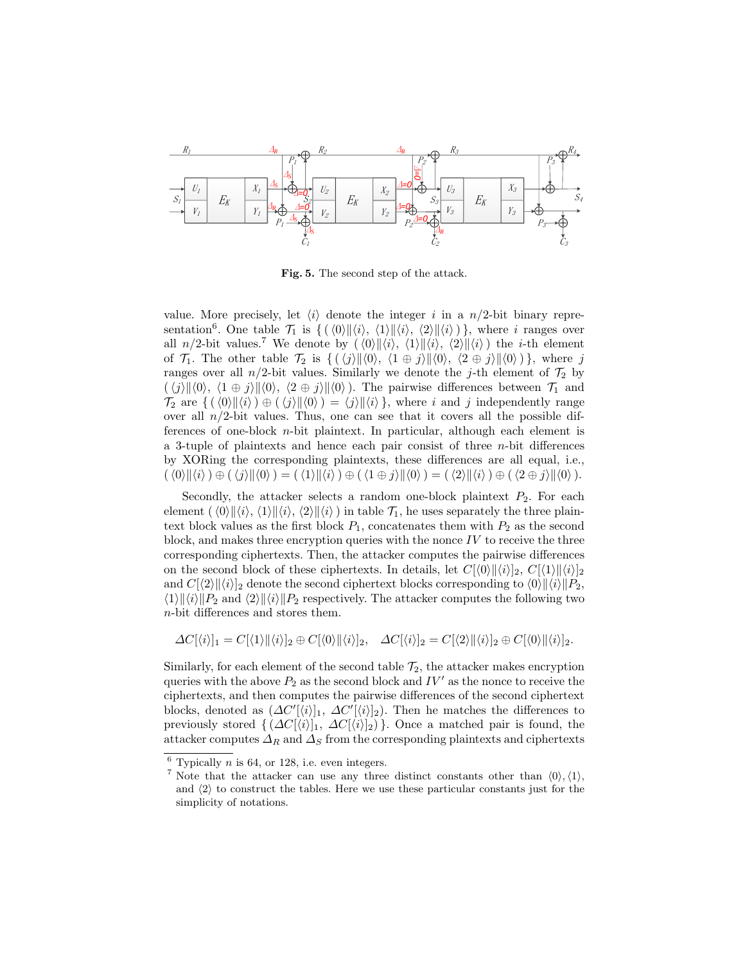

Fig. 5. The second step of the attack.

value. More precisely, let  $\langle i \rangle$  denote the integer i in a  $n/2$ -bit binary representation<sup>6</sup>. One table  $\mathcal{T}_1$  is  $\{(\langle 0 \rangle || \langle i \rangle, \langle 1 \rangle || \langle i \rangle, \langle 2 \rangle || \langle i \rangle)\}$ , where i ranges over all  $n/2$ -bit values.<sup>7</sup> We denote by  $(\langle 0 \rangle ||\langle i \rangle, \langle 1 \rangle ||\langle i \rangle, \langle 2 \rangle ||\langle i \rangle)$  the *i*-th element of  $\mathcal{T}_1$ . The other table  $\mathcal{T}_2$  is  $\{(\langle j \rangle || \langle 0 \rangle, \langle 1 \oplus j \rangle || \langle 0 \rangle, \langle 2 \oplus j \rangle || \langle 0 \rangle) \}$ , where j ranges over all  $n/2$ -bit values. Similarly we denote the j-th element of  $\mathcal{T}_2$  by  $(\langle j \rangle || \langle 0 \rangle, \langle 1 \oplus j \rangle || \langle 0 \rangle, \langle 2 \oplus j \rangle || \langle 0 \rangle).$  The pairwise differences between  $\mathcal{T}_1$  and  $\mathcal{T}_2$  are  $\{(\langle 0 \rangle || \langle i \rangle) \oplus (\langle j \rangle || \langle 0 \rangle) = \langle j \rangle || \langle i \rangle \}$ , where i and j independently range over all  $n/2$ -bit values. Thus, one can see that it covers all the possible differences of one-block n-bit plaintext. In particular, although each element is a 3-tuple of plaintexts and hence each pair consist of three  $n$ -bit differences by XORing the corresponding plaintexts, these differences are all equal, i.e.,  $(\langle 0 \rangle || \langle i \rangle) \oplus (\langle j \rangle || \langle 0 \rangle) = (\langle 1 \rangle || \langle i \rangle) \oplus (\langle 1 \oplus j \rangle || \langle 0 \rangle) = (\langle 2 \rangle || \langle i \rangle) \oplus (\langle 2 \oplus j \rangle || \langle 0 \rangle).$ 

Secondly, the attacker selects a random one-block plaintext  $P_2$ . For each element  $(\langle 0 \rangle || \langle i \rangle, \langle 1 \rangle || \langle i \rangle, \langle 2 \rangle || \langle i \rangle)$  in table  $\mathcal{T}_1$ , he uses separately the three plaintext block values as the first block  $P_1$ , concatenates them with  $P_2$  as the second block, and makes three encryption queries with the nonce  $IV$  to receive the three corresponding ciphertexts. Then, the attacker computes the pairwise differences on the second block of these ciphertexts. In details, let  $C[\langle 0 \rangle ||\langle i \rangle]_2$ ,  $C[\langle 1 \rangle ||\langle i \rangle]_2$ and  $C[\langle 2 \rangle ||\langle i \rangle]_2$  denote the second ciphertext blocks corresponding to  $\langle 0 \rangle ||\langle i \rangle||P_2$ ,  $\langle 1 \rangle ||\langle i \rangle || P_2$  and  $\langle 2 \rangle ||\langle i \rangle || P_2$  respectively. The attacker computes the following two n-bit differences and stores them.

$$
\Delta C[\langle i \rangle]_1 = C[\langle 1 \rangle] | \langle i \rangle]_2 \oplus C[\langle 0 \rangle] | \langle i \rangle]_2, \quad \Delta C[\langle i \rangle]_2 = C[\langle 2 \rangle] | \langle i \rangle]_2 \oplus C[\langle 0 \rangle] | \langle i \rangle]_2.
$$

Similarly, for each element of the second table  $\mathcal{T}_2$ , the attacker makes encryption queries with the above  $P_2$  as the second block and  $IV'$  as the nonce to receive the ciphertexts, and then computes the pairwise differences of the second ciphertext blocks, denoted as  $(\Delta C'[\langle i \rangle]_1, \Delta C'[\langle i \rangle]_2)$ . Then he matches the differences to previously stored  $\{ (\Delta C[\langle i \rangle]_1, \Delta C[\langle i \rangle]_2) \}$ . Once a matched pair is found, the attacker computes  $\Delta_R$  and  $\Delta_S$  from the corresponding plaintexts and ciphertexts

 $6$  Typically *n* is 64, or 128, i.e. even integers.

<sup>&</sup>lt;sup>7</sup> Note that the attacker can use any three distinct constants other than  $\langle 0 \rangle$ ,  $\langle 1 \rangle$ , and  $\langle 2 \rangle$  to construct the tables. Here we use these particular constants just for the simplicity of notations.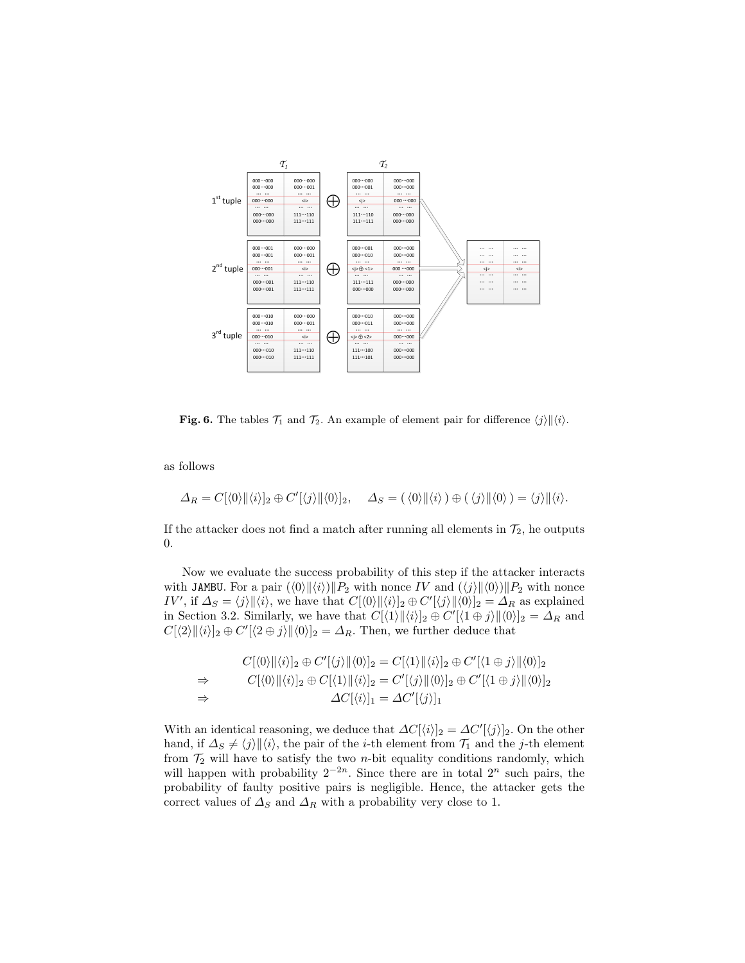

Fig. 6. The tables  $\mathcal{T}_1$  and  $\mathcal{T}_2$ . An example of element pair for difference  $\langle j \rangle ||\langle i \rangle$ .

as follows

$$
\Delta_R = C[\langle 0 \rangle ||\langle i \rangle]_2 \oplus C'[\langle j \rangle ||\langle 0 \rangle]_2, \quad \Delta_S = (\langle 0 \rangle ||\langle i \rangle) \oplus (\langle j \rangle ||\langle 0 \rangle) = \langle j \rangle ||\langle i \rangle.
$$

If the attacker does not find a match after running all elements in  $\mathcal{T}_2$ , he outputs 0.

Now we evaluate the success probability of this step if the attacker interacts with JAMBU. For a pair  $(\langle 0 \rangle || \langle i \rangle) || P_2$  with nonce IV and  $(\langle j \rangle || \langle 0 \rangle) || P_2$  with nonce IV', if  $\Delta_S = \langle j \rangle ||\langle i \rangle$ , we have that  $C[\langle 0 \rangle ||\langle i \rangle]_2 \oplus C'[\langle j \rangle ||\langle 0 \rangle]_2 = \Delta_R$  as explained in Section 3.2. Similarly, we have that  $C[\langle 1 \rangle || \langle i \rangle]_2 \oplus C'[\langle 1 \oplus j \rangle || \langle 0 \rangle]_2 = \Delta_R$  and  $C[\langle 2 \rangle || \langle i \rangle]_2 \oplus C'[\langle 2 \oplus j \rangle || \langle 0 \rangle]_2 = \Delta_R$ . Then, we further deduce that

$$
C[\langle 0 \rangle || \langle i \rangle]_2 \oplus C'[\langle j \rangle || \langle 0 \rangle]_2 = C[\langle 1 \rangle || \langle i \rangle]_2 \oplus C'[\langle 1 \oplus j \rangle || \langle 0 \rangle]_2
$$
  
\n
$$
\Rightarrow C[\langle 0 \rangle || \langle i \rangle]_2 \oplus C[\langle 1 \rangle || \langle i \rangle]_2 = C'[\langle j \rangle || \langle 0 \rangle]_2 \oplus C'[\langle 1 \oplus j \rangle || \langle 0 \rangle]_2
$$
  
\n
$$
\Rightarrow \Delta C[\langle i \rangle]_1 = \Delta C'[\langle j \rangle]_1
$$

With an identical reasoning, we deduce that  $\Delta C[\langle i \rangle]_2 = \Delta C'[\langle j \rangle]_2$ . On the other hand, if  $\Delta_S \neq \langle j \rangle || \langle i \rangle$ , the pair of the *i*-th element from  $\mathcal{T}_1$  and the *j*-th element from  $\mathcal{T}_2$  will have to satisfy the two *n*-bit equality conditions randomly, which will happen with probability  $2^{-2n}$ . Since there are in total  $2^n$  such pairs, the probability of faulty positive pairs is negligible. Hence, the attacker gets the correct values of  $\Delta_S$  and  $\Delta_R$  with a probability very close to 1.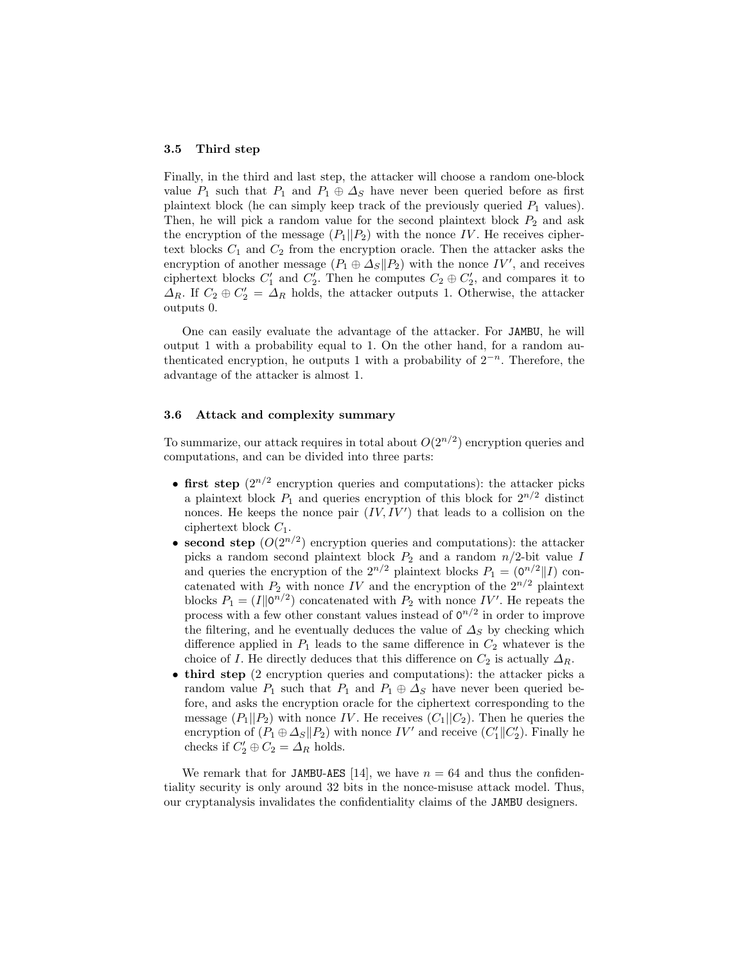#### 3.5 Third step

Finally, in the third and last step, the attacker will choose a random one-block value  $P_1$  such that  $P_1$  and  $P_1 \oplus \Delta_S$  have never been queried before as first plaintext block (he can simply keep track of the previously queried  $P_1$  values). Then, he will pick a random value for the second plaintext block  $P_2$  and ask the encryption of the message  $(P_1||P_2)$  with the nonce IV. He receives ciphertext blocks  $C_1$  and  $C_2$  from the encryption oracle. Then the attacker asks the encryption of another message  $(P_1 \oplus \Delta_S || P_2)$  with the nonce  $IV'$ , and receives ciphertext blocks  $C'_1$  and  $C'_2$ . Then he computes  $C_2 \oplus C'_2$ , and compares it to  $\Delta_R$ . If  $C_2 \oplus C_2' = \Delta_R$  holds, the attacker outputs 1. Otherwise, the attacker outputs 0.

One can easily evaluate the advantage of the attacker. For JAMBU, he will output 1 with a probability equal to 1. On the other hand, for a random authenticated encryption, he outputs 1 with a probability of  $2^{-n}$ . Therefore, the advantage of the attacker is almost 1.

## 3.6 Attack and complexity summary

To summarize, our attack requires in total about  $O(2^{n/2})$  encryption queries and computations, and can be divided into three parts:

- first step  $(2^{n/2}$  encryption queries and computations): the attacker picks a plaintext block  $P_1$  and queries encryption of this block for  $2^{n/2}$  distinct nonces. He keeps the nonce pair  $(IV, IV')$  that leads to a collision on the ciphertext block  $C_1$ .
- second step  $(O(2^{n/2})$  encryption queries and computations): the attacker picks a random second plaintext block  $P_2$  and a random  $n/2$ -bit value I and queries the encryption of the  $2^{n/2}$  plaintext blocks  $P_1 = (0^{n/2} || I)$  concatenated with  $P_2$  with nonce IV and the encryption of the  $2^{n/2}$  plaintext blocks  $P_1 = (I||0^{n/2})$  concatenated with  $P_2$  with nonce IV'. He repeats the process with a few other constant values instead of  $O^{n/2}$  in order to improve the filtering, and he eventually deduces the value of  $\Delta_S$  by checking which difference applied in  $P_1$  leads to the same difference in  $C_2$  whatever is the choice of I. He directly deduces that this difference on  $C_2$  is actually  $\Delta_R$ .
- third step (2 encryption queries and computations): the attacker picks a random value  $P_1$  such that  $P_1$  and  $P_1 \oplus \Delta_S$  have never been queried before, and asks the encryption oracle for the ciphertext corresponding to the message  $(P_1||P_2)$  with nonce IV. He receives  $(C_1||C_2)$ . Then he queries the encryption of  $(P_1 \oplus \Delta_S || P_2)$  with nonce  $IV'$  and receive  $(C'_1 || C'_2)$ . Finally he checks if  $C_2' \oplus C_2 = \Delta_R$  holds.

We remark that for JAMBU-AES [14], we have  $n = 64$  and thus the confidentiality security is only around 32 bits in the nonce-misuse attack model. Thus, our cryptanalysis invalidates the confidentiality claims of the JAMBU designers.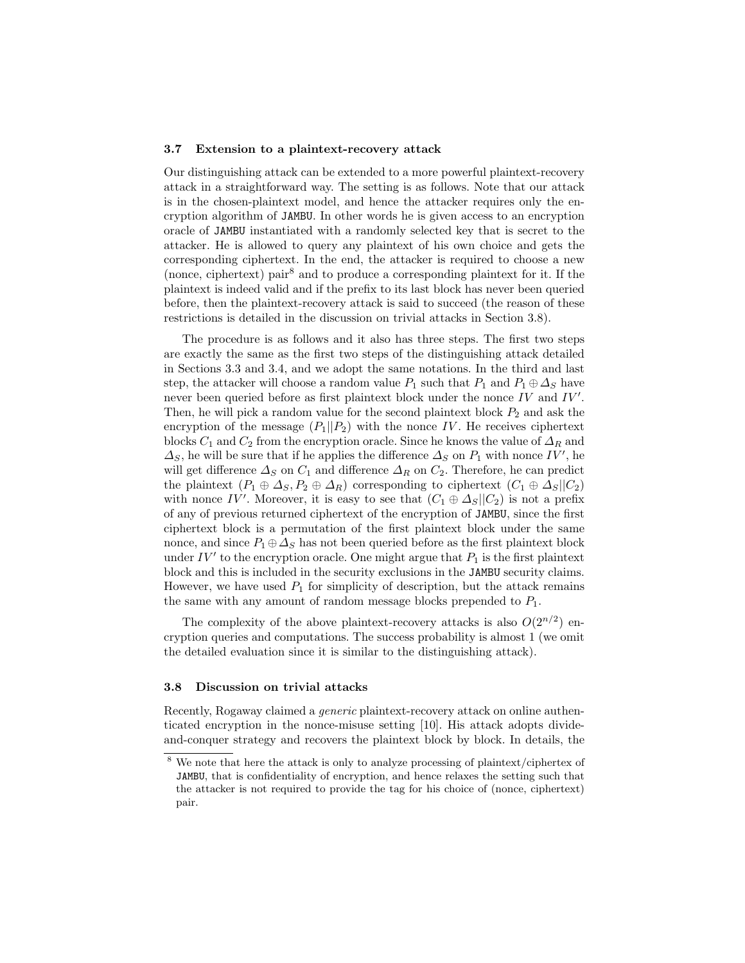#### 3.7 Extension to a plaintext-recovery attack

Our distinguishing attack can be extended to a more powerful plaintext-recovery attack in a straightforward way. The setting is as follows. Note that our attack is in the chosen-plaintext model, and hence the attacker requires only the encryption algorithm of JAMBU. In other words he is given access to an encryption oracle of JAMBU instantiated with a randomly selected key that is secret to the attacker. He is allowed to query any plaintext of his own choice and gets the corresponding ciphertext. In the end, the attacker is required to choose a new (nonce, ciphertext) pair<sup>8</sup> and to produce a corresponding plaintext for it. If the plaintext is indeed valid and if the prefix to its last block has never been queried before, then the plaintext-recovery attack is said to succeed (the reason of these restrictions is detailed in the discussion on trivial attacks in Section 3.8).

The procedure is as follows and it also has three steps. The first two steps are exactly the same as the first two steps of the distinguishing attack detailed in Sections 3.3 and 3.4, and we adopt the same notations. In the third and last step, the attacker will choose a random value  $P_1$  such that  $P_1$  and  $P_1 \oplus \Delta_S$  have never been queried before as first plaintext block under the nonce  $IV$  and  $IV'$ . Then, he will pick a random value for the second plaintext block  $P_2$  and ask the encryption of the message  $(P_1||P_2)$  with the nonce IV. He receives ciphertext blocks  $C_1$  and  $C_2$  from the encryption oracle. Since he knows the value of  $\Delta_R$  and  $\Delta_S$ , he will be sure that if he applies the difference  $\Delta_S$  on  $P_1$  with nonce  $IV'$ , he will get difference  $\Delta_S$  on  $C_1$  and difference  $\Delta_R$  on  $C_2$ . Therefore, he can predict the plaintext  $(P_1 \oplus \Delta_S, P_2 \oplus \Delta_R)$  corresponding to ciphertext  $(C_1 \oplus \Delta_S || C_2)$ with nonce IV'. Moreover, it is easy to see that  $(C_1 \oplus \Delta_S || C_2)$  is not a prefix of any of previous returned ciphertext of the encryption of JAMBU, since the first ciphertext block is a permutation of the first plaintext block under the same nonce, and since  $P_1 \oplus \Delta_S$  has not been queried before as the first plaintext block under  $IV'$  to the encryption oracle. One might argue that  $P_1$  is the first plaintext block and this is included in the security exclusions in the JAMBU security claims. However, we have used  $P_1$  for simplicity of description, but the attack remains the same with any amount of random message blocks prepended to  $P_1$ .

The complexity of the above plaintext-recovery attacks is also  $O(2^{n/2})$  encryption queries and computations. The success probability is almost 1 (we omit the detailed evaluation since it is similar to the distinguishing attack).

## 3.8 Discussion on trivial attacks

Recently, Rogaway claimed a generic plaintext-recovery attack on online authenticated encryption in the nonce-misuse setting [10]. His attack adopts divideand-conquer strategy and recovers the plaintext block by block. In details, the

<sup>8</sup> We note that here the attack is only to analyze processing of plaintext/ciphertex of JAMBU, that is confidentiality of encryption, and hence relaxes the setting such that the attacker is not required to provide the tag for his choice of (nonce, ciphertext) pair.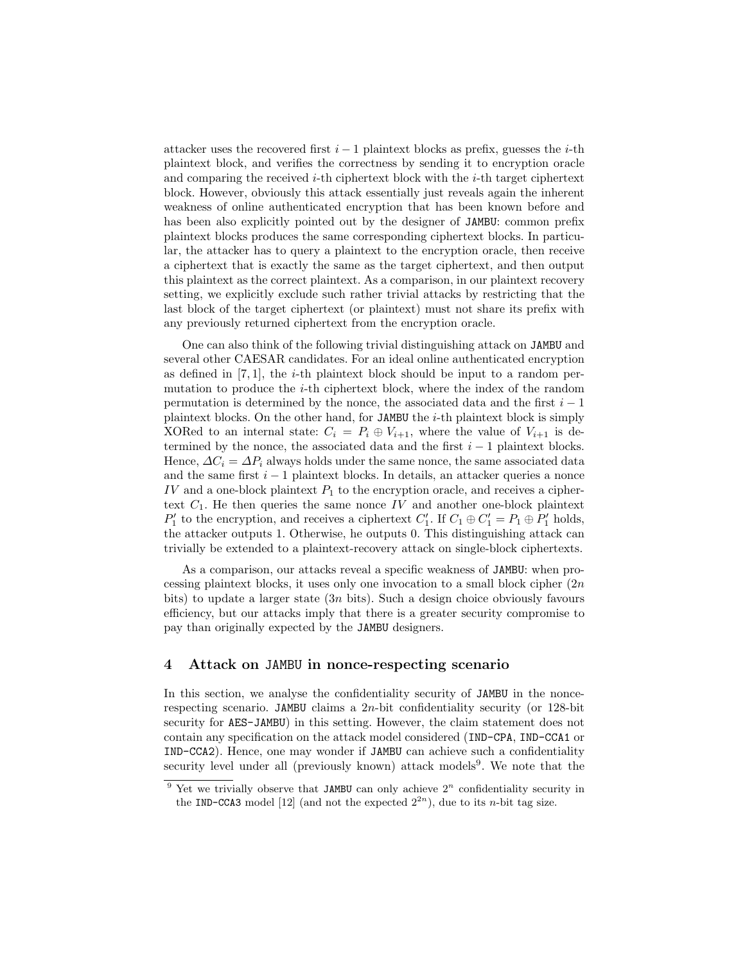attacker uses the recovered first  $i-1$  plaintext blocks as prefix, guesses the i-th plaintext block, and verifies the correctness by sending it to encryption oracle and comparing the received  $i$ -th ciphertext block with the  $i$ -th target ciphertext block. However, obviously this attack essentially just reveals again the inherent weakness of online authenticated encryption that has been known before and has been also explicitly pointed out by the designer of JAMBU: common prefix plaintext blocks produces the same corresponding ciphertext blocks. In particular, the attacker has to query a plaintext to the encryption oracle, then receive a ciphertext that is exactly the same as the target ciphertext, and then output this plaintext as the correct plaintext. As a comparison, in our plaintext recovery setting, we explicitly exclude such rather trivial attacks by restricting that the last block of the target ciphertext (or plaintext) must not share its prefix with any previously returned ciphertext from the encryption oracle.

One can also think of the following trivial distinguishing attack on JAMBU and several other CAESAR candidates. For an ideal online authenticated encryption as defined in  $[7, 1]$ , the *i*-th plaintext block should be input to a random permutation to produce the *i*-th ciphertext block, where the index of the random permutation is determined by the nonce, the associated data and the first  $i - 1$ plaintext blocks. On the other hand, for JAMBU the  $i$ -th plaintext block is simply XORed to an internal state:  $C_i = P_i \oplus V_{i+1}$ , where the value of  $V_{i+1}$  is determined by the nonce, the associated data and the first  $i - 1$  plaintext blocks. Hence,  $\Delta C_i = \Delta P_i$  always holds under the same nonce, the same associated data and the same first  $i - 1$  plaintext blocks. In details, an attacker queries a nonce IV and a one-block plaintext  $P_1$  to the encryption oracle, and receives a ciphertext  $C_1$ . He then queries the same nonce IV and another one-block plaintext  $P'_1$  to the encryption, and receives a ciphertext  $C'_1$ . If  $C_1 \oplus C'_1 = P_1 \oplus P'_1$  holds, the attacker outputs 1. Otherwise, he outputs 0. This distinguishing attack can trivially be extended to a plaintext-recovery attack on single-block ciphertexts.

As a comparison, our attacks reveal a specific weakness of JAMBU: when processing plaintext blocks, it uses only one invocation to a small block cipher  $(2n)$ bits) to update a larger state  $(3n \text{ bits})$ . Such a design choice obviously favours efficiency, but our attacks imply that there is a greater security compromise to pay than originally expected by the JAMBU designers.

# 4 Attack on JAMBU in nonce-respecting scenario

In this section, we analyse the confidentiality security of JAMBU in the noncerespecting scenario. JAMBU claims a  $2n$ -bit confidentiality security (or 128-bit security for AES-JAMBU) in this setting. However, the claim statement does not contain any specification on the attack model considered (IND-CPA, IND-CCA1 or IND-CCA2). Hence, one may wonder if JAMBU can achieve such a confidentiality security level under all (previously known) attack models<sup>9</sup>. We note that the

<sup>&</sup>lt;sup>9</sup> Yet we trivially observe that JAMBU can only achieve  $2^n$  confidentiality security in the IND-CCA3 model [12] (and not the expected  $2^{2n}$ ), due to its *n*-bit tag size.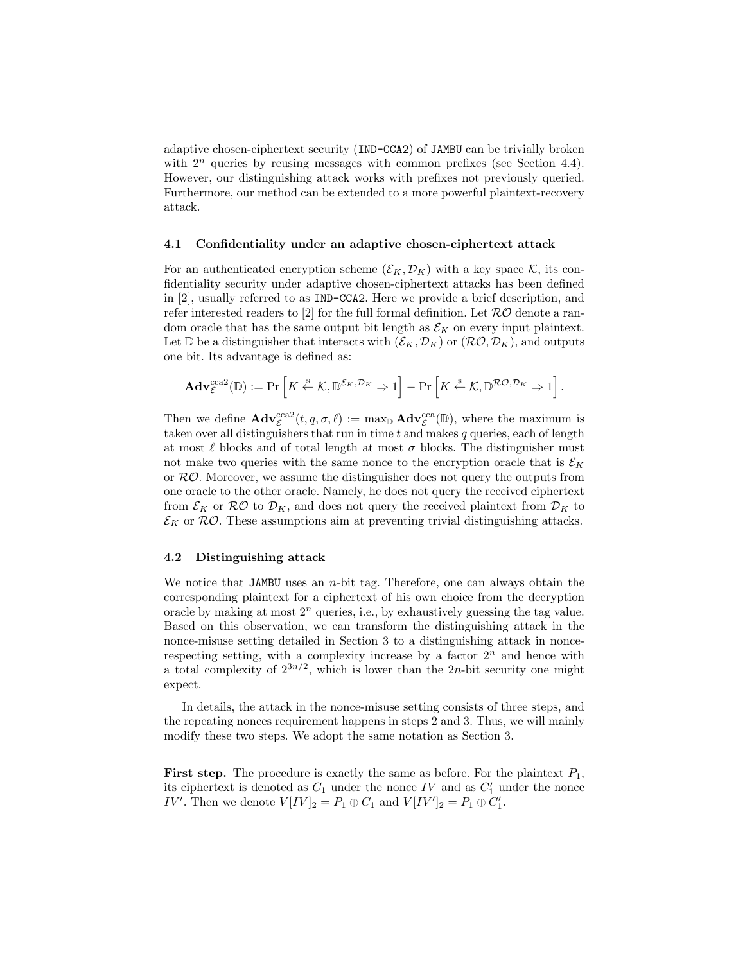adaptive chosen-ciphertext security (IND-CCA2) of JAMBU can be trivially broken with  $2^n$  queries by reusing messages with common prefixes (see Section 4.4). However, our distinguishing attack works with prefixes not previously queried. Furthermore, our method can be extended to a more powerful plaintext-recovery attack.

### 4.1 Confidentiality under an adaptive chosen-ciphertext attack

For an authenticated encryption scheme  $(\mathcal{E}_K, \mathcal{D}_K)$  with a key space K, its confidentiality security under adaptive chosen-ciphertext attacks has been defined in [2], usually referred to as IND-CCA2. Here we provide a brief description, and refer interested readers to [2] for the full formal definition. Let  $R\mathcal{O}$  denote a random oracle that has the same output bit length as  $\mathcal{E}_K$  on every input plaintext. Let D be a distinguisher that interacts with  $(\mathcal{E}_K, \mathcal{D}_K)$  or  $(\mathcal{RO}, \mathcal{D}_K)$ , and outputs one bit. Its advantage is defined as:

$$
\mathbf{Adv}_{\mathcal{E}}^{\text{cca2}}(\mathbb{D}) := \Pr\left[K \stackrel{\$}{\leftarrow} \mathcal{K}, \mathbb{D}^{\mathcal{E}_{K}, \mathcal{D}_{K}} \Rightarrow 1\right] - \Pr\left[K \stackrel{\$}{\leftarrow} \mathcal{K}, \mathbb{D}^{\mathcal{RO}, \mathcal{D}_{K}} \Rightarrow 1\right].
$$

Then we define  $\mathbf{Adv}_{\mathcal{E}}^{\text{cca}}(t, q, \sigma, \ell) := \max_{\mathbb{D}} \mathbf{Adv}_{\mathcal{E}}^{\text{cca}}(\mathbb{D}),$  where the maximum is taken over all distinguishers that run in time  $t$  and makes  $q$  queries, each of length at most  $\ell$  blocks and of total length at most  $\sigma$  blocks. The distinguisher must not make two queries with the same nonce to the encryption oracle that is  $\mathcal{E}_K$ or  $R\mathcal{O}$ . Moreover, we assume the distinguisher does not query the outputs from one oracle to the other oracle. Namely, he does not query the received ciphertext from  $\mathcal{E}_K$  or  $\mathcal{RO}$  to  $\mathcal{D}_K$ , and does not query the received plaintext from  $\mathcal{D}_K$  to  $\mathcal{E}_K$  or  $\mathcal{RO}$ . These assumptions aim at preventing trivial distinguishing attacks.

#### 4.2 Distinguishing attack

We notice that JAMBU uses an  $n$ -bit tag. Therefore, one can always obtain the corresponding plaintext for a ciphertext of his own choice from the decryption oracle by making at most  $2<sup>n</sup>$  queries, i.e., by exhaustively guessing the tag value. Based on this observation, we can transform the distinguishing attack in the nonce-misuse setting detailed in Section 3 to a distinguishing attack in noncerespecting setting, with a complexity increase by a factor  $2<sup>n</sup>$  and hence with a total complexity of  $2^{3n/2}$ , which is lower than the 2n-bit security one might expect.

In details, the attack in the nonce-misuse setting consists of three steps, and the repeating nonces requirement happens in steps 2 and 3. Thus, we will mainly modify these two steps. We adopt the same notation as Section 3.

**First step.** The procedure is exactly the same as before. For the plaintext  $P_1$ , its ciphertext is denoted as  $C_1$  under the nonce IV and as  $C'_1$  under the nonce IV'. Then we denote  $V[IV]_2 = P_1 \oplus C_1$  and  $V[IV']_2 = P_1 \oplus C_1'$ .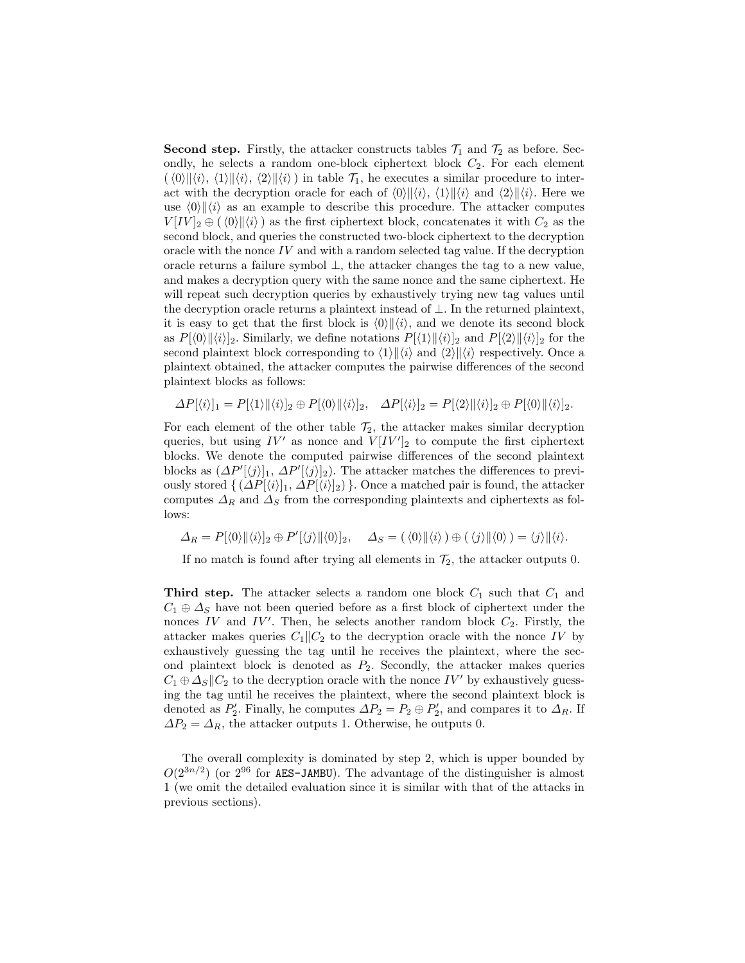**Second step.** Firstly, the attacker constructs tables  $\mathcal{T}_1$  and  $\mathcal{T}_2$  as before. Secondly, he selects a random one-block ciphertext block  $C_2$ . For each element  $(\langle 0 \rangle || \langle i \rangle, \langle 1 \rangle || \langle i \rangle, \langle 2 \rangle || \langle i \rangle)$  in table  $\mathcal{T}_1$ , he executes a similar procedure to interact with the decryption oracle for each of  $\langle 0 \rangle \|\langle i \rangle, \langle 1 \rangle \|\langle i \rangle$  and  $\langle 2 \rangle \|\langle i \rangle$ . Here we use  $\langle 0 \rangle || \langle i \rangle$  as an example to describe this procedure. The attacker computes  $V[IV]_2 \oplus (\langle 0 \rangle || \langle i \rangle)$  as the first ciphertext block, concatenates it with  $C_2$  as the second block, and queries the constructed two-block ciphertext to the decryption oracle with the nonce  $IV$  and with a random selected tag value. If the decryption oracle returns a failure symbol ⊥, the attacker changes the tag to a new value, and makes a decryption query with the same nonce and the same ciphertext. He will repeat such decryption queries by exhaustively trying new tag values until the decryption oracle returns a plaintext instead of  $\bot$ . In the returned plaintext, it is easy to get that the first block is  $\langle 0 \rangle || \langle i \rangle$ , and we denote its second block as  $P[\langle 0 \rangle || \langle i \rangle]_2$ . Similarly, we define notations  $P[\langle 1 \rangle || \langle i \rangle]_2$  and  $P[\langle 2 \rangle || \langle i \rangle]_2$  for the second plaintext block corresponding to  $\langle 1 \rangle \|\langle i \rangle$  and  $\langle 2 \rangle \|\langle i \rangle$  respectively. Once a plaintext obtained, the attacker computes the pairwise differences of the second plaintext blocks as follows:

$$
\Delta P[\langle i \rangle]_1 = P[\langle 1 \rangle || \langle i \rangle]_2 \oplus P[\langle 0 \rangle || \langle i \rangle]_2, \quad \Delta P[\langle i \rangle]_2 = P[\langle 2 \rangle || \langle i \rangle]_2 \oplus P[\langle 0 \rangle || \langle i \rangle]_2.
$$

For each element of the other table  $\mathcal{T}_2$ , the attacker makes similar decryption queries, but using  $IV'$  as nonce and  $V [IV']_2$  to compute the first ciphertext blocks. We denote the computed pairwise differences of the second plaintext blocks as  $(\Delta P'[\langle j \rangle]_1, \Delta P'[\langle j \rangle]_2)$ . The attacker matches the differences to previously stored  $\{(\Delta P[\langle i \rangle]_1, \Delta P[\langle i \rangle]_2)\}$ . Once a matched pair is found, the attacker computes  $\Delta_R$  and  $\Delta_S$  from the corresponding plaintexts and ciphertexts as follows:

$$
\Delta_R = P[\langle 0 \rangle || \langle i \rangle]_2 \oplus P'[\langle j \rangle || \langle 0 \rangle]_2, \quad \Delta_S = (\langle 0 \rangle || \langle i \rangle) \oplus (\langle j \rangle || \langle 0 \rangle) = \langle j \rangle || \langle i \rangle.
$$

If no match is found after trying all elements in  $\mathcal{T}_2$ , the attacker outputs 0.

**Third step.** The attacker selects a random one block  $C_1$  such that  $C_1$  and  $C_1 \oplus \Delta_S$  have not been queried before as a first block of ciphertext under the nonces IV and IV'. Then, he selects another random block  $C_2$ . Firstly, the attacker makes queries  $C_1||C_2$  to the decryption oracle with the nonce IV by exhaustively guessing the tag until he receives the plaintext, where the second plaintext block is denoted as  $P_2$ . Secondly, the attacker makes queries  $C_1 \oplus \Delta_S || C_2$  to the decryption oracle with the nonce  $IV'$  by exhaustively guessing the tag until he receives the plaintext, where the second plaintext block is denoted as  $P'_2$ . Finally, he computes  $\Delta P_2 = P_2 \oplus P'_2$ , and compares it to  $\Delta_R$ . If  $\Delta P_2 = \Delta_R$ , the attacker outputs 1. Otherwise, he outputs 0.

The overall complexity is dominated by step 2, which is upper bounded by  $O(2^{3n/2})$  (or  $2^{96}$  for AES-JAMBU). The advantage of the distinguisher is almost 1 (we omit the detailed evaluation since it is similar with that of the attacks in previous sections).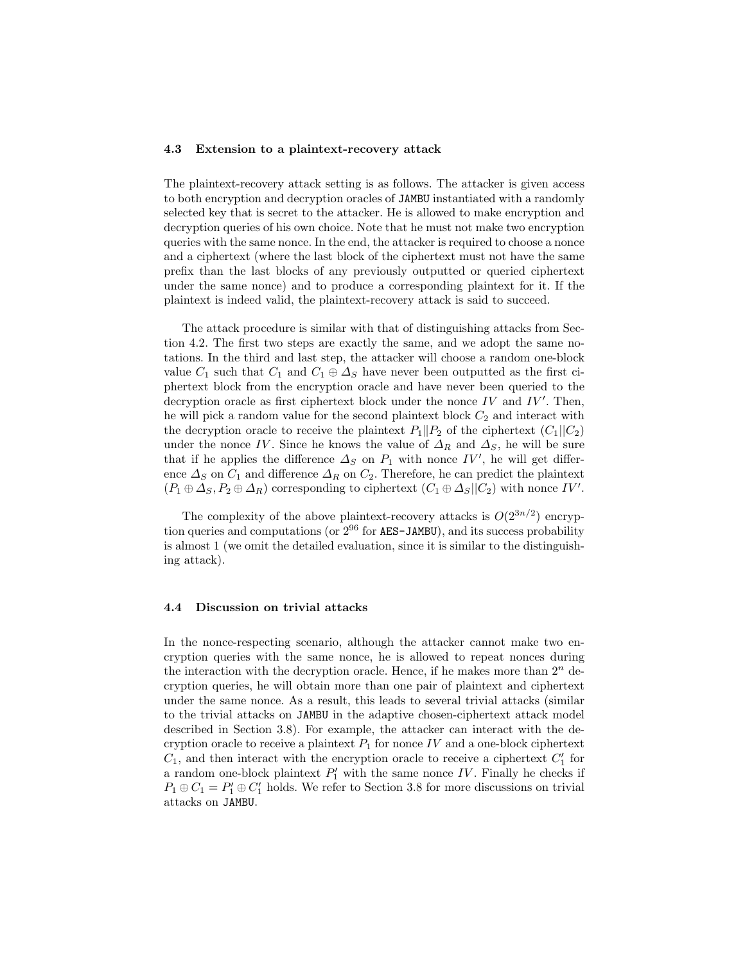#### 4.3 Extension to a plaintext-recovery attack

The plaintext-recovery attack setting is as follows. The attacker is given access to both encryption and decryption oracles of JAMBU instantiated with a randomly selected key that is secret to the attacker. He is allowed to make encryption and decryption queries of his own choice. Note that he must not make two encryption queries with the same nonce. In the end, the attacker is required to choose a nonce and a ciphertext (where the last block of the ciphertext must not have the same prefix than the last blocks of any previously outputted or queried ciphertext under the same nonce) and to produce a corresponding plaintext for it. If the plaintext is indeed valid, the plaintext-recovery attack is said to succeed.

The attack procedure is similar with that of distinguishing attacks from Section 4.2. The first two steps are exactly the same, and we adopt the same notations. In the third and last step, the attacker will choose a random one-block value  $C_1$  such that  $C_1$  and  $C_1 \oplus \Delta_S$  have never been outputted as the first ciphertext block from the encryption oracle and have never been queried to the decryption oracle as first ciphertext block under the nonce  $IV$  and  $IV'$ . Then, he will pick a random value for the second plaintext block  $C_2$  and interact with the decryption oracle to receive the plaintext  $P_1||P_2$  of the ciphertext  $(C_1||C_2)$ under the nonce IV. Since he knows the value of  $\Delta_R$  and  $\Delta_S$ , he will be sure that if he applies the difference  $\Delta_S$  on  $P_1$  with nonce  $IV'$ , he will get difference  $\Delta_S$  on  $C_1$  and difference  $\Delta_R$  on  $C_2$ . Therefore, he can predict the plaintext  $(P_1 \oplus \Delta_S, P_2 \oplus \Delta_R)$  corresponding to ciphertext  $(C_1 \oplus \Delta_S || C_2)$  with nonce  $IV'.$ 

The complexity of the above plaintext-recovery attacks is  $O(2^{3n/2})$  encryption queries and computations (or  $2^{96}$  for AES-JAMBU), and its success probability is almost 1 (we omit the detailed evaluation, since it is similar to the distinguishing attack).

### 4.4 Discussion on trivial attacks

In the nonce-respecting scenario, although the attacker cannot make two encryption queries with the same nonce, he is allowed to repeat nonces during the interaction with the decryption oracle. Hence, if he makes more than  $2^n$  decryption queries, he will obtain more than one pair of plaintext and ciphertext under the same nonce. As a result, this leads to several trivial attacks (similar to the trivial attacks on JAMBU in the adaptive chosen-ciphertext attack model described in Section 3.8). For example, the attacker can interact with the decryption oracle to receive a plaintext  $P_1$  for nonce IV and a one-block ciphertext  $C_1$ , and then interact with the encryption oracle to receive a ciphertext  $C'_1$  for a random one-block plaintext  $P'_1$  with the same nonce IV. Finally he checks if  $P_1 \oplus C_1 = P_1' \oplus C_1'$  holds. We refer to Section 3.8 for more discussions on trivial attacks on JAMBU.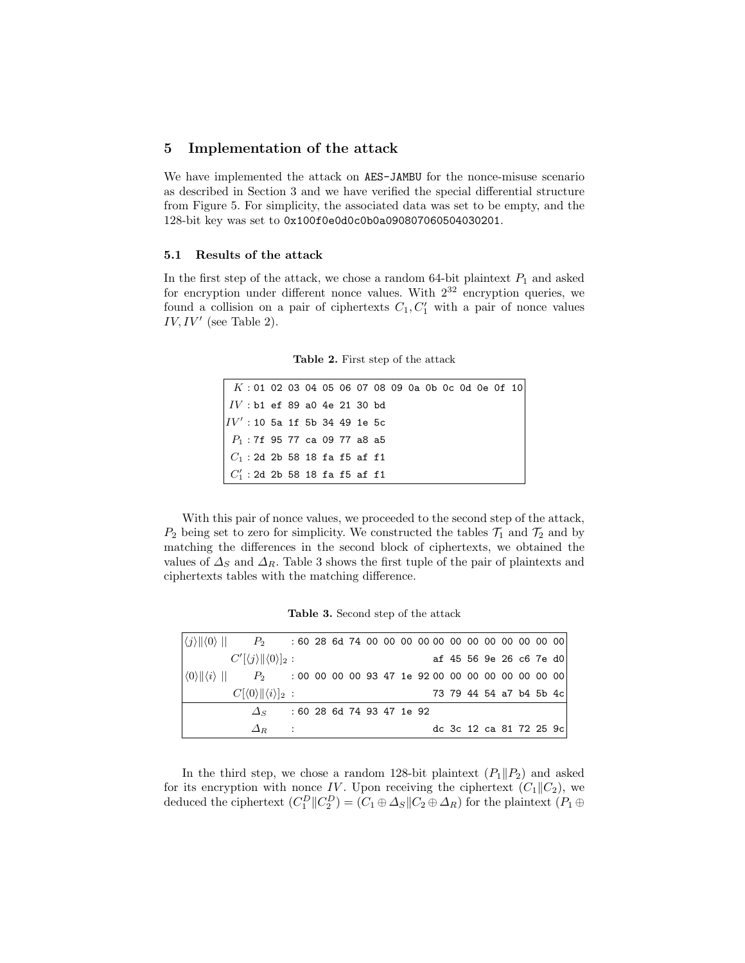# 5 Implementation of the attack

We have implemented the attack on AES-JAMBU for the nonce-misuse scenario as described in Section 3 and we have verified the special differential structure from Figure 5. For simplicity, the associated data was set to be empty, and the 128-bit key was set to 0x100f0e0d0c0b0a090807060504030201.

### 5.1 Results of the attack

In the first step of the attack, we chose a random 64-bit plaintext  $P_1$  and asked for encryption under different nonce values. With  $2^{32}$  encryption queries, we found a collision on a pair of ciphertexts  $C_1, C'_1$  with a pair of nonce values  $IV, IV'$  (see Table 2).

Table 2. First step of the attack

| $K:$ 01 02 03 04 05 06 07 08 09 0a 0b 0c 0d 0e 0f 10 |  |  |  |  |  |  |  |  |
|------------------------------------------------------|--|--|--|--|--|--|--|--|
| $IV:$ b1 ef 89 a0 4e 21 30 bd                        |  |  |  |  |  |  |  |  |
| $IV'$ : 10 5a 1f 5b 34 49 1e 5c                      |  |  |  |  |  |  |  |  |
| $P_1$ :7f 95 77 ca 09 77 a8 a5                       |  |  |  |  |  |  |  |  |
| $C_1$ : 2d 2b 58 18 fa f5 af f1                      |  |  |  |  |  |  |  |  |
| $C'_1$ : 2d 2b 58 18 fa f5 af f1                     |  |  |  |  |  |  |  |  |

With this pair of nonce values, we proceeded to the second step of the attack,  $P_2$  being set to zero for simplicity. We constructed the tables  $\mathcal{T}_1$  and  $\mathcal{T}_2$  and by matching the differences in the second block of ciphertexts, we obtained the values of  $\Delta_S$  and  $\Delta_R$ . Table 3 shows the first tuple of the pair of plaintexts and ciphertexts tables with the matching difference.

Table 3. Second step of the attack

| $ \langle j \rangle   \langle 0 \rangle $   $P_2$ : 60 28 6d 74 00 00 00 00 00 00 00 00 00 00 00 00                           |  |  |  |  |  |  |                         |  |
|-------------------------------------------------------------------------------------------------------------------------------|--|--|--|--|--|--|-------------------------|--|
| $C'[\langle j \rangle   \langle 0 \rangle]_2$ :                                                                               |  |  |  |  |  |  | af 45 56 9e 26 c6 7e d0 |  |
| $\vert \langle 0 \rangle \vert \vert \langle i \rangle \vert \vert$ $P_2$ :00 00 00 00 93 47 1e 92 00 00 00 00 00 00 00 00 00 |  |  |  |  |  |  |                         |  |
| $C[\langle 0 \rangle   \langle i \rangle]_2$ :                                                                                |  |  |  |  |  |  | 73 79 44 54 a7 b4 5b 4c |  |
| $\Delta_S$ : 60 28 6d 74 93 47 1e 92                                                                                          |  |  |  |  |  |  |                         |  |
| $\Delta_R$ :                                                                                                                  |  |  |  |  |  |  | dc 3c 12 ca 81 72 25 9c |  |

In the third step, we chose a random 128-bit plaintext  $(P_1||P_2)$  and asked for its encryption with nonce IV. Upon receiving the ciphertext  $(C_1||C_2)$ , we deduced the ciphertext  $(C_1^D \| C_2^D) = (C_1 \oplus \Delta_S \| C_2 \oplus \Delta_R)$  for the plaintext  $(P_1 \oplus$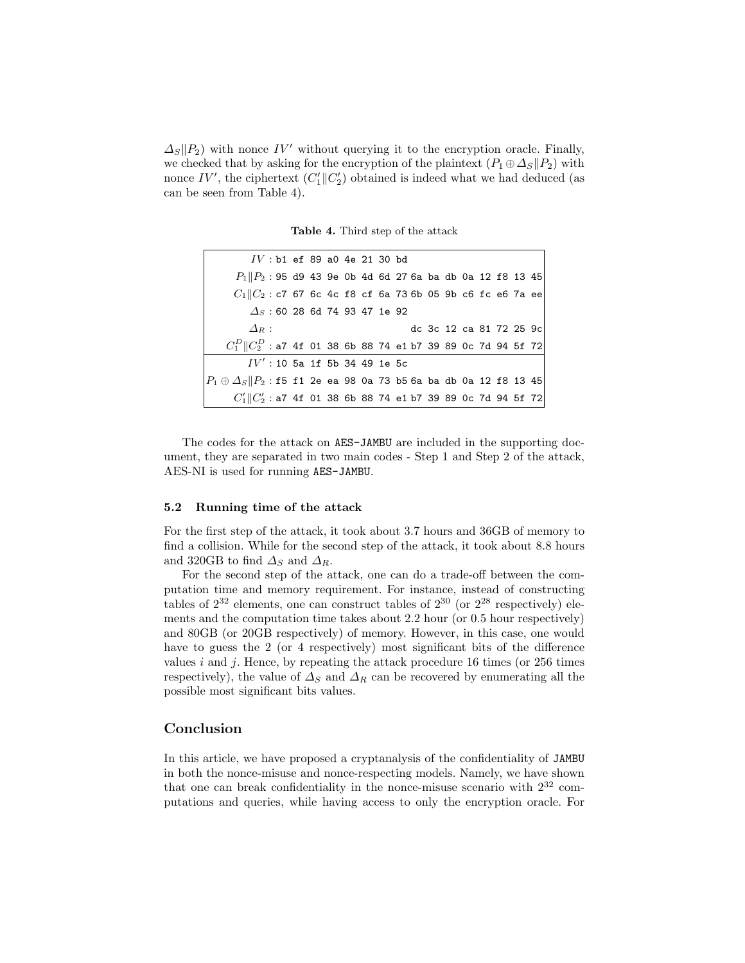$\Delta_S||P_2|$  with nonce IV' without querying it to the encryption oracle. Finally, we checked that by asking for the encryption of the plaintext  $(P_1 \oplus \Delta_S || P_2)$  with nonce  $IV'$ , the ciphertext  $(C'_1||C'_2)$  obtained is indeed what we had deduced (as can be seen from Table 4).

Table 4. Third step of the attack

| $IV:$ b1 ef 89 a0 4e 21 30 bd                                                      |  |  |  |  |  |  |                         |  |
|------------------------------------------------------------------------------------|--|--|--|--|--|--|-------------------------|--|
| $P_1  P_2:$ 95 d9 43 9e 0b 4d 6d 27 6a ba db 0a 12 f8 13 45                        |  |  |  |  |  |  |                         |  |
| $C_1$    $C_2$ : c7 67 6c 4c f8 cf 6a 73 6b 05 9b c6 fc e6 7a ee                   |  |  |  |  |  |  |                         |  |
| $\Delta_S$ : 60 28 6d 74 93 47 1e 92                                               |  |  |  |  |  |  |                         |  |
| $\Delta_R$ :                                                                       |  |  |  |  |  |  | dc 3c 12 ca 81 72 25 9c |  |
| $C_1^D$    $C_2^D$ : a7 4f 01 38 6b 88 74 e1 b7 39 89 0c 7d 94 5f 72               |  |  |  |  |  |  |                         |  |
| $IV'$ : 10 5a 1f 5b 34 49 1e 5c                                                    |  |  |  |  |  |  |                         |  |
| $P_1\oplus\mathit{\Delta}_S\ P_2$ :f5 f1 2e ea 98 0a 73 b5 6a ba db 0a 12 f8 13 45 |  |  |  |  |  |  |                         |  |
| $C'_1$ $C'_2$ : a7 4f 01 38 6b 88 74 e1 b7 39 89 0c 7d 94 5f 72                    |  |  |  |  |  |  |                         |  |

The codes for the attack on AES-JAMBU are included in the supporting document, they are separated in two main codes - Step 1 and Step 2 of the attack, AES-NI is used for running AES-JAMBU.

## 5.2 Running time of the attack

For the first step of the attack, it took about 3.7 hours and 36GB of memory to find a collision. While for the second step of the attack, it took about 8.8 hours and 320GB to find  $\Delta_S$  and  $\Delta_R$ .

For the second step of the attack, one can do a trade-off between the computation time and memory requirement. For instance, instead of constructing tables of  $2^{32}$  elements, one can construct tables of  $2^{30}$  (or  $2^{28}$  respectively) elements and the computation time takes about  $2.2$  hour (or  $0.5$  hour respectively) and 80GB (or 20GB respectively) of memory. However, in this case, one would have to guess the 2 (or 4 respectively) most significant bits of the difference values  $i$  and  $j$ . Hence, by repeating the attack procedure 16 times (or 256 times respectively), the value of  $\Delta_S$  and  $\Delta_R$  can be recovered by enumerating all the possible most significant bits values.

## Conclusion

In this article, we have proposed a cryptanalysis of the confidentiality of JAMBU in both the nonce-misuse and nonce-respecting models. Namely, we have shown that one can break confidentiality in the nonce-misuse scenario with  $2^{32}$  computations and queries, while having access to only the encryption oracle. For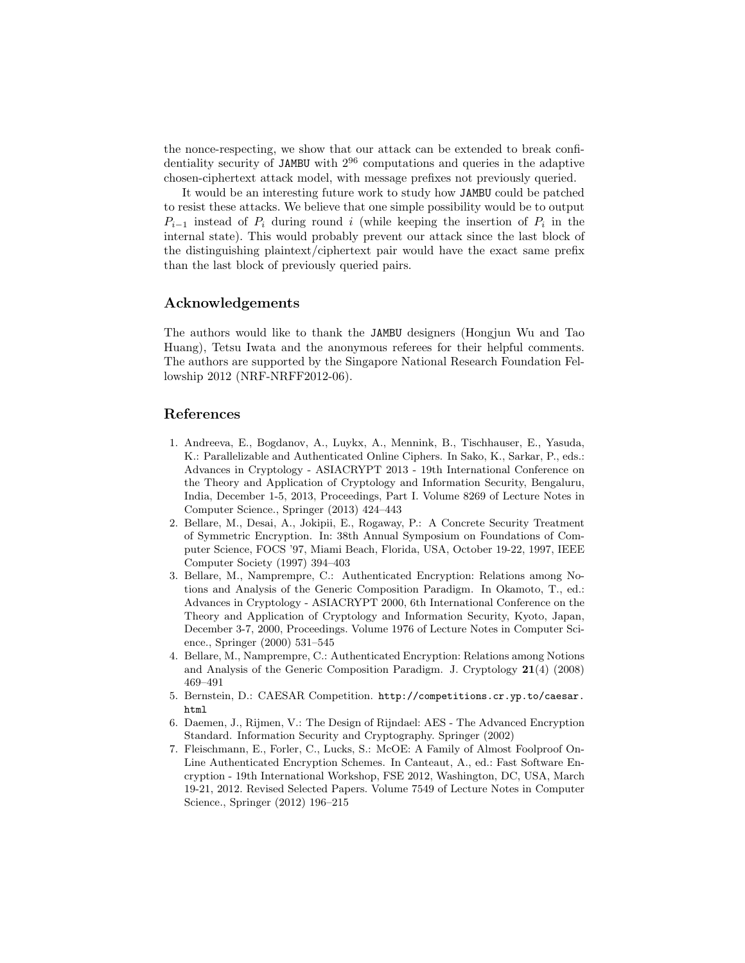the nonce-respecting, we show that our attack can be extended to break confidentiality security of JAMBU with 2<sup>96</sup> computations and queries in the adaptive chosen-ciphertext attack model, with message prefixes not previously queried.

It would be an interesting future work to study how JAMBU could be patched to resist these attacks. We believe that one simple possibility would be to output  $P_{i-1}$  instead of  $P_i$  during round i (while keeping the insertion of  $P_i$  in the internal state). This would probably prevent our attack since the last block of the distinguishing plaintext/ciphertext pair would have the exact same prefix than the last block of previously queried pairs.

# Acknowledgements

The authors would like to thank the JAMBU designers (Hongjun Wu and Tao Huang), Tetsu Iwata and the anonymous referees for their helpful comments. The authors are supported by the Singapore National Research Foundation Fellowship 2012 (NRF-NRFF2012-06).

# References

- 1. Andreeva, E., Bogdanov, A., Luykx, A., Mennink, B., Tischhauser, E., Yasuda, K.: Parallelizable and Authenticated Online Ciphers. In Sako, K., Sarkar, P., eds.: Advances in Cryptology - ASIACRYPT 2013 - 19th International Conference on the Theory and Application of Cryptology and Information Security, Bengaluru, India, December 1-5, 2013, Proceedings, Part I. Volume 8269 of Lecture Notes in Computer Science., Springer (2013) 424–443
- 2. Bellare, M., Desai, A., Jokipii, E., Rogaway, P.: A Concrete Security Treatment of Symmetric Encryption. In: 38th Annual Symposium on Foundations of Computer Science, FOCS '97, Miami Beach, Florida, USA, October 19-22, 1997, IEEE Computer Society (1997) 394–403
- 3. Bellare, M., Namprempre, C.: Authenticated Encryption: Relations among Notions and Analysis of the Generic Composition Paradigm. In Okamoto, T., ed.: Advances in Cryptology - ASIACRYPT 2000, 6th International Conference on the Theory and Application of Cryptology and Information Security, Kyoto, Japan, December 3-7, 2000, Proceedings. Volume 1976 of Lecture Notes in Computer Science., Springer (2000) 531–545
- 4. Bellare, M., Namprempre, C.: Authenticated Encryption: Relations among Notions and Analysis of the Generic Composition Paradigm. J. Cryptology 21(4) (2008) 469–491
- 5. Bernstein, D.: CAESAR Competition. http://competitions.cr.yp.to/caesar. html
- 6. Daemen, J., Rijmen, V.: The Design of Rijndael: AES The Advanced Encryption Standard. Information Security and Cryptography. Springer (2002)
- 7. Fleischmann, E., Forler, C., Lucks, S.: McOE: A Family of Almost Foolproof On-Line Authenticated Encryption Schemes. In Canteaut, A., ed.: Fast Software Encryption - 19th International Workshop, FSE 2012, Washington, DC, USA, March 19-21, 2012. Revised Selected Papers. Volume 7549 of Lecture Notes in Computer Science., Springer (2012) 196–215